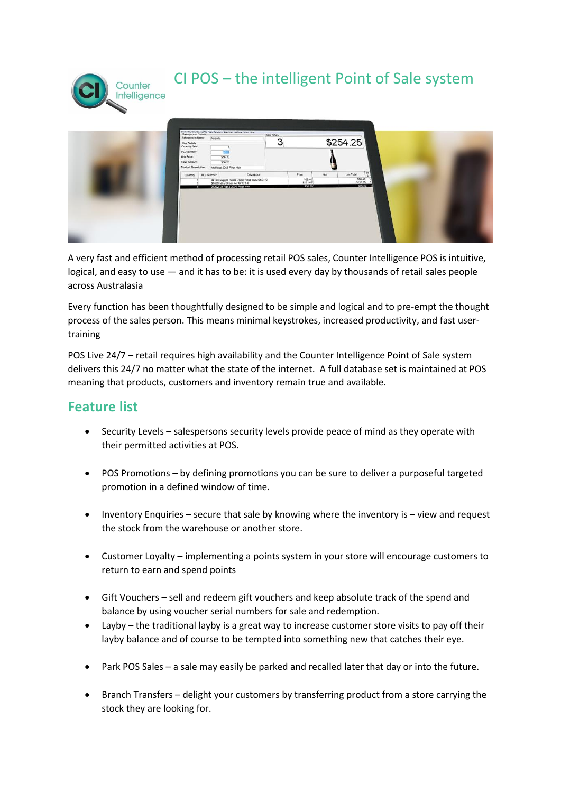

## CI POS – the intelligent Point of Sale system



A very fast and efficient method of processing retail POS sales, Counter Intelligence POS is intuitive, logical, and easy to use — and it has to be: it is used every day by thousands of retail sales people across Australasia

Every function has been thoughtfully designed to be simple and logical and to pre-empt the thought process of the sales person. This means minimal keystrokes, increased productivity, and fast usertraining

POS Live 24/7 – retail requires high availability and the Counter Intelligence Point of Sale system delivers this 24/7 no matter what the state of the internet. A full database set is maintained at POS meaning that products, customers and inventory remain true and available.

## **Feature list**

- Security Levels salespersons security levels provide peace of mind as they operate with their permitted activities at POS.
- POS Promotions by defining promotions you can be sure to deliver a purposeful targeted promotion in a defined window of time.
- Inventory Enquiries secure that sale by knowing where the inventory is view and request the stock from the warehouse or another store.
- Customer Loyalty implementing a points system in your store will encourage customers to return to earn and spend points
- Gift Vouchers sell and redeem gift vouchers and keep absolute track of the spend and balance by using voucher serial numbers for sale and redemption.
- Layby the traditional layby is a great way to increase customer store visits to pay off their layby balance and of course to be tempted into something new that catches their eye.
- Park POS Sales a sale may easily be parked and recalled later that day or into the future.
- Branch Transfers delight your customers by transferring product from a store carrying the stock they are looking for.